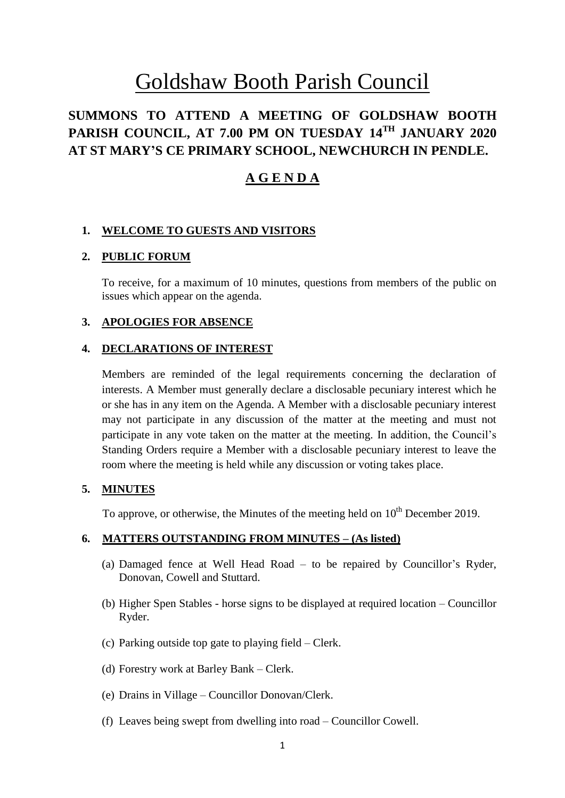# Goldshaw Booth Parish Council

# **SUMMONS TO ATTEND A MEETING OF GOLDSHAW BOOTH PARISH COUNCIL, AT 7.00 PM ON TUESDAY 14 TH JANUARY 2020 AT ST MARY'S CE PRIMARY SCHOOL, NEWCHURCH IN PENDLE.**

# **A G E N D A**

#### **1. WELCOME TO GUESTS AND VISITORS**

#### **2. PUBLIC FORUM**

To receive, for a maximum of 10 minutes, questions from members of the public on issues which appear on the agenda.

#### **3. APOLOGIES FOR ABSENCE**

#### **4. DECLARATIONS OF INTEREST**

Members are reminded of the legal requirements concerning the declaration of interests. A Member must generally declare a disclosable pecuniary interest which he or she has in any item on the Agenda. A Member with a disclosable pecuniary interest may not participate in any discussion of the matter at the meeting and must not participate in any vote taken on the matter at the meeting. In addition, the Council's Standing Orders require a Member with a disclosable pecuniary interest to leave the room where the meeting is held while any discussion or voting takes place.

#### **5. MINUTES**

To approve, or otherwise, the Minutes of the meeting held on  $10<sup>th</sup>$  December 2019.

# **6. MATTERS OUTSTANDING FROM MINUTES – (As listed)**

- (a) Damaged fence at Well Head Road to be repaired by Councillor's Ryder, Donovan, Cowell and Stuttard.
- (b) Higher Spen Stables horse signs to be displayed at required location Councillor Ryder.
- (c) Parking outside top gate to playing field Clerk.
- (d) Forestry work at Barley Bank Clerk.
- (e) Drains in Village Councillor Donovan/Clerk.
- (f) Leaves being swept from dwelling into road Councillor Cowell.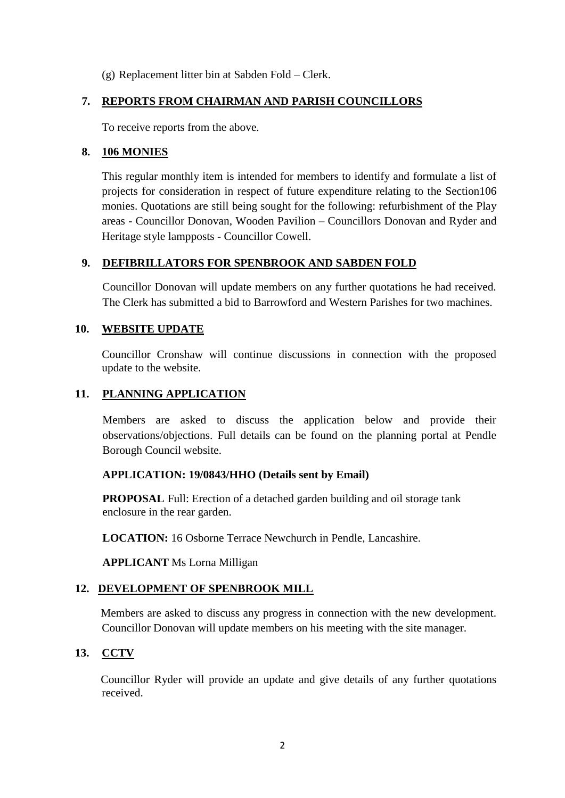(g) Replacement litter bin at Sabden Fold – Clerk.

#### **7. REPORTS FROM CHAIRMAN AND PARISH COUNCILLORS**

To receive reports from the above.

#### **8. 106 MONIES**

This regular monthly item is intended for members to identify and formulate a list of projects for consideration in respect of future expenditure relating to the Section106 monies. Quotations are still being sought for the following: refurbishment of the Play areas - Councillor Donovan, Wooden Pavilion – Councillors Donovan and Ryder and Heritage style lampposts - Councillor Cowell.

#### **9. DEFIBRILLATORS FOR SPENBROOK AND SABDEN FOLD**

Councillor Donovan will update members on any further quotations he had received. The Clerk has submitted a bid to Barrowford and Western Parishes for two machines.

#### **10. WEBSITE UPDATE**

Councillor Cronshaw will continue discussions in connection with the proposed update to the website.

#### **11. PLANNING APPLICATION**

Members are asked to discuss the application below and provide their observations/objections. Full details can be found on the planning portal at Pendle Borough Council website.

#### **APPLICATION: 19/0843/HHO (Details sent by Email)**

**PROPOSAL** Full: Erection of a detached garden building and oil storage tank enclosure in the rear garden.

**LOCATION:** 16 Osborne Terrace Newchurch in Pendle, Lancashire.

**APPLICANT** Ms Lorna Milligan

#### **12. DEVELOPMENT OF SPENBROOK MILL**

Members are asked to discuss any progress in connection with the new development. Councillor Donovan will update members on his meeting with the site manager.

# **13. CCTV**

Councillor Ryder will provide an update and give details of any further quotations received.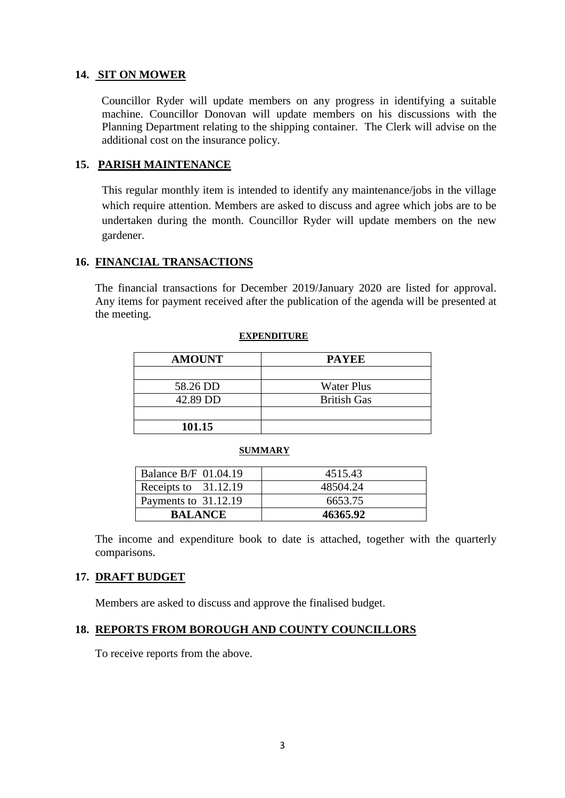#### **14. SIT ON MOWER**

 Councillor Ryder will update members on any progress in identifying a suitable machine. Councillor Donovan will update members on his discussions with the Planning Department relating to the shipping container. The Clerk will advise on the additional cost on the insurance policy.

#### **15. PARISH MAINTENANCE**

This regular monthly item is intended to identify any maintenance/jobs in the village which require attention. Members are asked to discuss and agree which jobs are to be undertaken during the month. Councillor Ryder will update members on the new gardener.

# **16. FINANCIAL TRANSACTIONS**

The financial transactions for December 2019/January 2020 are listed for approval. Any items for payment received after the publication of the agenda will be presented at the meeting.

#### **EXPENDITURE**

| <b>AMOUNT</b> | <b>PAYEE</b>       |
|---------------|--------------------|
|               |                    |
| 58.26 DD      | <b>Water Plus</b>  |
| 42.89 DD      | <b>British Gas</b> |
|               |                    |
| 101.15        |                    |

#### **SUMMARY**

| Balance B/F 01.04.19 | 4515.43  |
|----------------------|----------|
| Receipts to 31.12.19 | 48504.24 |
| Payments to 31.12.19 | 6653.75  |
| <b>BALANCE</b>       | 46365.92 |

The income and expenditure book to date is attached, together with the quarterly comparisons.

# **17. DRAFT BUDGET**

Members are asked to discuss and approve the finalised budget.

#### **18. REPORTS FROM BOROUGH AND COUNTY COUNCILLORS**

To receive reports from the above.